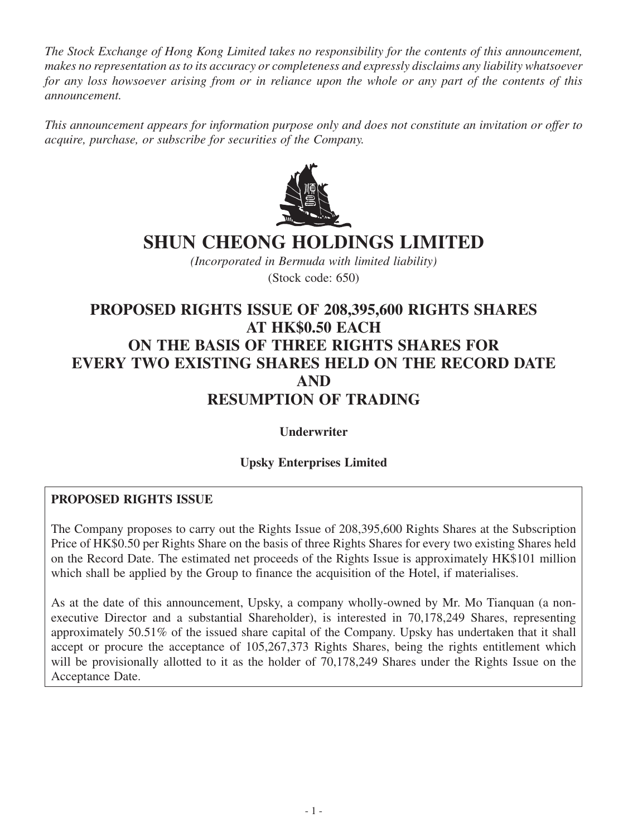*The Stock Exchange of Hong Kong Limited takes no responsibility for the contents of this announcement, makes no representation as to its accuracy or completeness and expressly disclaims any liability whatsoever for any loss howsoever arising from or in reliance upon the whole or any part of the contents of this announcement.*

*This announcement appears for information purpose only and does not constitute an invitation or offer to acquire, purchase, or subscribe for securities of the Company.*



# **SHUN CHEONG HOLDINGS LIMITED**

*(Incorporated in Bermuda with limited liability)* (Stock code: 650)

# **PROPOSED RIGHTS ISSUE OF 208,395,600 RIGHTS SHARES AT HK\$0.50 EACH ON THE BASIS OF THREE RIGHTS SHARES FOR EVERY TWO EXISTING SHARES HELD ON THE RECORD DATE AND RESUMPTION OF TRADING**

**Underwriter**

**Upsky Enterprises Limited**

# **PROPOSED RIGHTS ISSUE**

The Company proposes to carry out the Rights Issue of 208,395,600 Rights Shares at the Subscription Price of HK\$0.50 per Rights Share on the basis of three Rights Shares for every two existing Shares held on the Record Date. The estimated net proceeds of the Rights Issue is approximately HK\$101 million which shall be applied by the Group to finance the acquisition of the Hotel, if materialises.

As at the date of this announcement, Upsky, a company wholly-owned by Mr. Mo Tianquan (a nonexecutive Director and a substantial Shareholder), is interested in 70,178,249 Shares, representing approximately 50.51% of the issued share capital of the Company. Upsky has undertaken that it shall accept or procure the acceptance of 105,267,373 Rights Shares, being the rights entitlement which will be provisionally allotted to it as the holder of 70,178,249 Shares under the Rights Issue on the Acceptance Date.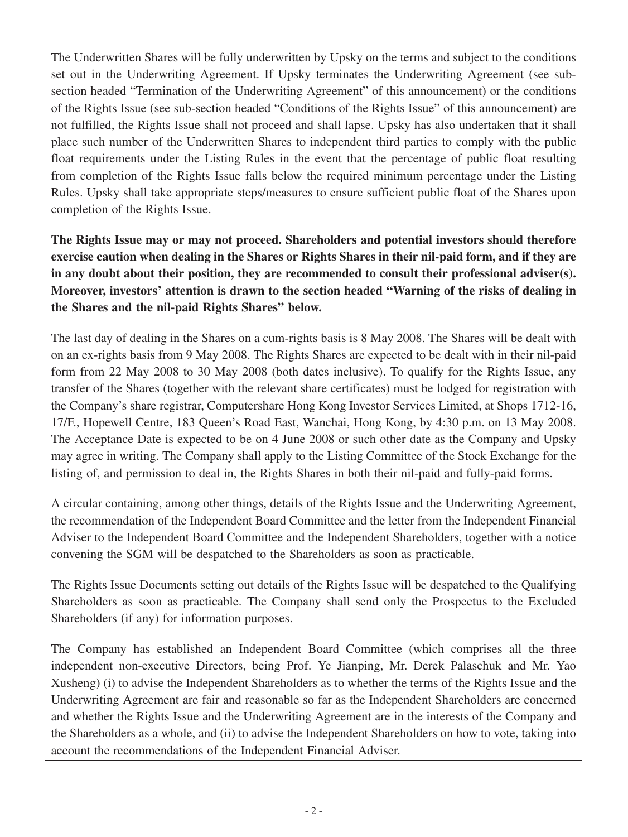The Underwritten Shares will be fully underwritten by Upsky on the terms and subject to the conditions set out in the Underwriting Agreement. If Upsky terminates the Underwriting Agreement (see subsection headed "Termination of the Underwriting Agreement" of this announcement) or the conditions of the Rights Issue (see sub-section headed "Conditions of the Rights Issue" of this announcement) are not fulfilled, the Rights Issue shall not proceed and shall lapse. Upsky has also undertaken that it shall place such number of the Underwritten Shares to independent third parties to comply with the public float requirements under the Listing Rules in the event that the percentage of public float resulting from completion of the Rights Issue falls below the required minimum percentage under the Listing Rules. Upsky shall take appropriate steps/measures to ensure sufficient public float of the Shares upon completion of the Rights Issue.

**The Rights Issue may or may not proceed. Shareholders and potential investors should therefore exercise caution when dealing in the Shares or Rights Shares in their nil-paid form, and if they are in any doubt about their position, they are recommended to consult their professional adviser(s). Moreover, investors' attention is drawn to the section headed "Warning of the risks of dealing in the Shares and the nil-paid Rights Shares" below.**

The last day of dealing in the Shares on a cum-rights basis is 8 May 2008. The Shares will be dealt with on an ex-rights basis from 9 May 2008. The Rights Shares are expected to be dealt with in their nil-paid form from 22 May 2008 to 30 May 2008 (both dates inclusive). To qualify for the Rights Issue, any transfer of the Shares (together with the relevant share certificates) must be lodged for registration with the Company's share registrar, Computershare Hong Kong Investor Services Limited, at Shops 1712-16, 17/F., Hopewell Centre, 183 Queen's Road East, Wanchai, Hong Kong, by 4:30 p.m. on 13 May 2008. The Acceptance Date is expected to be on 4 June 2008 or such other date as the Company and Upsky may agree in writing. The Company shall apply to the Listing Committee of the Stock Exchange for the listing of, and permission to deal in, the Rights Shares in both their nil-paid and fully-paid forms.

A circular containing, among other things, details of the Rights Issue and the Underwriting Agreement, the recommendation of the Independent Board Committee and the letter from the Independent Financial Adviser to the Independent Board Committee and the Independent Shareholders, together with a notice convening the SGM will be despatched to the Shareholders as soon as practicable.

The Rights Issue Documents setting out details of the Rights Issue will be despatched to the Qualifying Shareholders as soon as practicable. The Company shall send only the Prospectus to the Excluded Shareholders (if any) for information purposes.

The Company has established an Independent Board Committee (which comprises all the three independent non-executive Directors, being Prof. Ye Jianping, Mr. Derek Palaschuk and Mr. Yao Xusheng) (i) to advise the Independent Shareholders as to whether the terms of the Rights Issue and the Underwriting Agreement are fair and reasonable so far as the Independent Shareholders are concerned and whether the Rights Issue and the Underwriting Agreement are in the interests of the Company and the Shareholders as a whole, and (ii) to advise the Independent Shareholders on how to vote, taking into account the recommendations of the Independent Financial Adviser.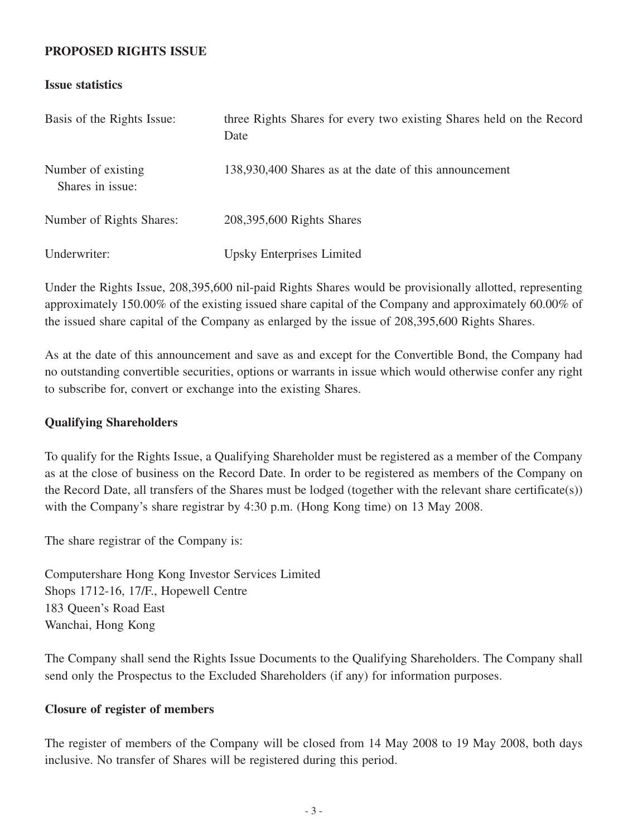## **PROPOSED RIGHTS ISSUE**

### **Issue statistics**

| Basis of the Rights Issue:             | three Rights Shares for every two existing Shares held on the Record<br>Date |
|----------------------------------------|------------------------------------------------------------------------------|
| Number of existing<br>Shares in issue: | 138,930,400 Shares as at the date of this announcement                       |
| Number of Rights Shares:               | 208,395,600 Rights Shares                                                    |
| Underwriter:                           | <b>Upsky Enterprises Limited</b>                                             |

Under the Rights Issue, 208,395,600 nil-paid Rights Shares would be provisionally allotted, representing approximately 150.00% of the existing issued share capital of the Company and approximately 60.00% of the issued share capital of the Company as enlarged by the issue of 208,395,600 Rights Shares.

As at the date of this announcement and save as and except for the Convertible Bond, the Company had no outstanding convertible securities, options or warrants in issue which would otherwise confer any right to subscribe for, convert or exchange into the existing Shares.

### **Qualifying Shareholders**

To qualify for the Rights Issue, a Qualifying Shareholder must be registered as a member of the Company as at the close of business on the Record Date. In order to be registered as members of the Company on the Record Date, all transfers of the Shares must be lodged (together with the relevant share certificate(s)) with the Company's share registrar by 4:30 p.m. (Hong Kong time) on 13 May 2008.

The share registrar of the Company is:

Computershare Hong Kong Investor Services Limited Shops 1712-16, 17/F., Hopewell Centre 183 Queen's Road East Wanchai, Hong Kong

The Company shall send the Rights Issue Documents to the Qualifying Shareholders. The Company shall send only the Prospectus to the Excluded Shareholders (if any) for information purposes.

#### **Closure of register of members**

The register of members of the Company will be closed from 14 May 2008 to 19 May 2008, both days inclusive. No transfer of Shares will be registered during this period.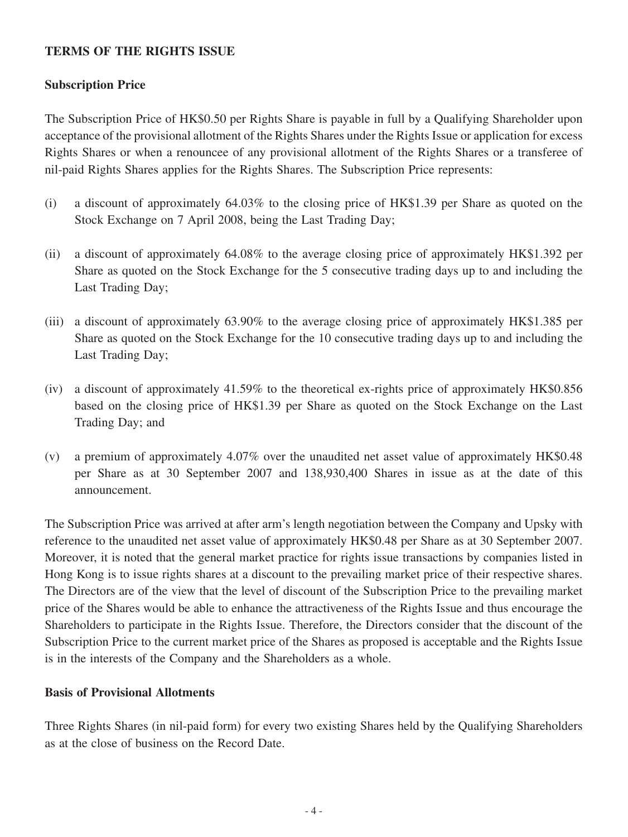## **TERMS OF THE RIGHTS ISSUE**

#### **Subscription Price**

The Subscription Price of HK\$0.50 per Rights Share is payable in full by a Qualifying Shareholder upon acceptance of the provisional allotment of the Rights Shares under the Rights Issue or application for excess Rights Shares or when a renouncee of any provisional allotment of the Rights Shares or a transferee of nil-paid Rights Shares applies for the Rights Shares. The Subscription Price represents:

- (i) a discount of approximately 64.03% to the closing price of HK\$1.39 per Share as quoted on the Stock Exchange on 7 April 2008, being the Last Trading Day;
- (ii) a discount of approximately 64.08% to the average closing price of approximately HK\$1.392 per Share as quoted on the Stock Exchange for the 5 consecutive trading days up to and including the Last Trading Day;
- (iii) a discount of approximately 63.90% to the average closing price of approximately HK\$1.385 per Share as quoted on the Stock Exchange for the 10 consecutive trading days up to and including the Last Trading Day;
- (iv) a discount of approximately 41.59% to the theoretical ex-rights price of approximately HK\$0.856 based on the closing price of HK\$1.39 per Share as quoted on the Stock Exchange on the Last Trading Day; and
- (v) a premium of approximately 4.07% over the unaudited net asset value of approximately HK\$0.48 per Share as at 30 September 2007 and 138,930,400 Shares in issue as at the date of this announcement.

The Subscription Price was arrived at after arm's length negotiation between the Company and Upsky with reference to the unaudited net asset value of approximately HK\$0.48 per Share as at 30 September 2007. Moreover, it is noted that the general market practice for rights issue transactions by companies listed in Hong Kong is to issue rights shares at a discount to the prevailing market price of their respective shares. The Directors are of the view that the level of discount of the Subscription Price to the prevailing market price of the Shares would be able to enhance the attractiveness of the Rights Issue and thus encourage the Shareholders to participate in the Rights Issue. Therefore, the Directors consider that the discount of the Subscription Price to the current market price of the Shares as proposed is acceptable and the Rights Issue is in the interests of the Company and the Shareholders as a whole.

#### **Basis of Provisional Allotments**

Three Rights Shares (in nil-paid form) for every two existing Shares held by the Qualifying Shareholders as at the close of business on the Record Date.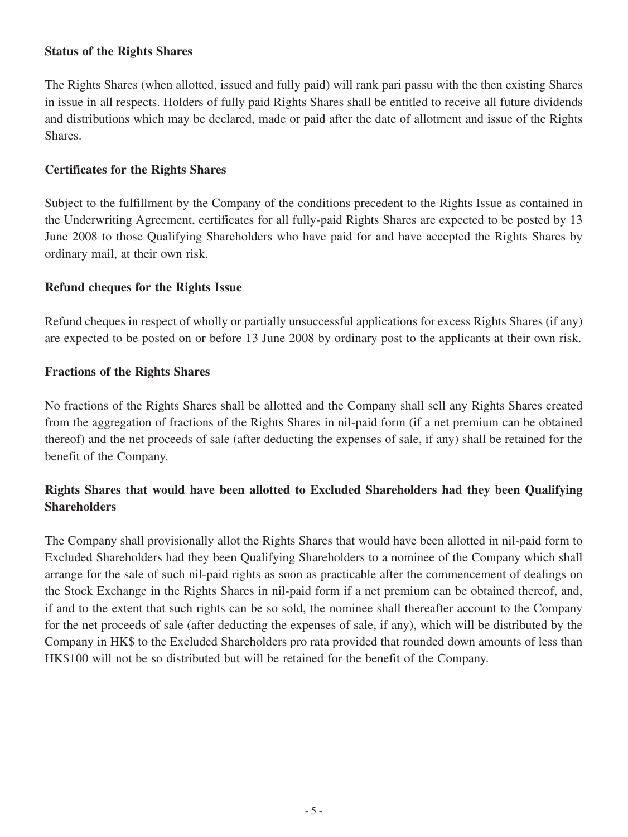#### **Status of the Rights Shares**

The Rights Shares (when allotted, issued and fully paid) will rank pari passu with the then existing Shares in issue in all respects. Holders of fully paid Rights Shares shall be entitled to receive all future dividends and distributions which may be declared, made or paid after the date of allotment and issue of the Rights Shares.

#### **Certificates for the Rights Shares**

Subject to the fulfillment by the Company of the conditions precedent to the Rights Issue as contained in the Underwriting Agreement, certificates for all fully-paid Rights Shares are expected to be posted by 13 June 2008 to those Qualifying Shareholders who have paid for and have accepted the Rights Shares by ordinary mail, at their own risk.

#### **Refund cheques for the Rights Issue**

Refund cheques in respect of wholly or partially unsuccessful applications for excess Rights Shares (if any) are expected to be posted on or before 13 June 2008 by ordinary post to the applicants at their own risk.

#### **Fractions of the Rights Shares**

No fractions of the Rights Shares shall be allotted and the Company shall sell any Rights Shares created from the aggregation of fractions of the Rights Shares in nil-paid form (if a net premium can be obtained thereof) and the net proceeds of sale (after deducting the expenses of sale, if any) shall be retained for the benefit of the Company.

# **Rights Shares that would have been allotted to Excluded Shareholders had they been Qualifying Shareholders**

The Company shall provisionally allot the Rights Shares that would have been allotted in nil-paid form to Excluded Shareholders had they been Qualifying Shareholders to a nominee of the Company which shall arrange for the sale of such nil-paid rights as soon as practicable after the commencement of dealings on the Stock Exchange in the Rights Shares in nil-paid form if a net premium can be obtained thereof, and, if and to the extent that such rights can be so sold, the nominee shall thereafter account to the Company for the net proceeds of sale (after deducting the expenses of sale, if any), which will be distributed by the Company in HK\$ to the Excluded Shareholders pro rata provided that rounded down amounts of less than HK\$100 will not be so distributed but will be retained for the benefit of the Company.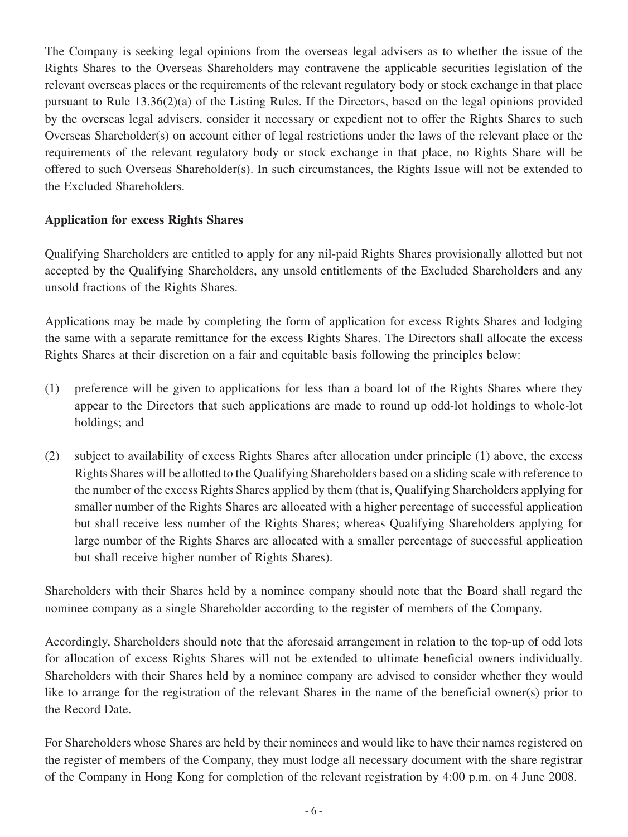The Company is seeking legal opinions from the overseas legal advisers as to whether the issue of the Rights Shares to the Overseas Shareholders may contravene the applicable securities legislation of the relevant overseas places or the requirements of the relevant regulatory body or stock exchange in that place pursuant to Rule 13.36(2)(a) of the Listing Rules. If the Directors, based on the legal opinions provided by the overseas legal advisers, consider it necessary or expedient not to offer the Rights Shares to such Overseas Shareholder(s) on account either of legal restrictions under the laws of the relevant place or the requirements of the relevant regulatory body or stock exchange in that place, no Rights Share will be offered to such Overseas Shareholder(s). In such circumstances, the Rights Issue will not be extended to the Excluded Shareholders.

## **Application for excess Rights Shares**

Qualifying Shareholders are entitled to apply for any nil-paid Rights Shares provisionally allotted but not accepted by the Qualifying Shareholders, any unsold entitlements of the Excluded Shareholders and any unsold fractions of the Rights Shares.

Applications may be made by completing the form of application for excess Rights Shares and lodging the same with a separate remittance for the excess Rights Shares. The Directors shall allocate the excess Rights Shares at their discretion on a fair and equitable basis following the principles below:

- (1) preference will be given to applications for less than a board lot of the Rights Shares where they appear to the Directors that such applications are made to round up odd-lot holdings to whole-lot holdings; and
- (2) subject to availability of excess Rights Shares after allocation under principle (1) above, the excess Rights Shares will be allotted to the Qualifying Shareholders based on a sliding scale with reference to the number of the excess Rights Shares applied by them (that is, Qualifying Shareholders applying for smaller number of the Rights Shares are allocated with a higher percentage of successful application but shall receive less number of the Rights Shares; whereas Qualifying Shareholders applying for large number of the Rights Shares are allocated with a smaller percentage of successful application but shall receive higher number of Rights Shares).

Shareholders with their Shares held by a nominee company should note that the Board shall regard the nominee company as a single Shareholder according to the register of members of the Company.

Accordingly, Shareholders should note that the aforesaid arrangement in relation to the top-up of odd lots for allocation of excess Rights Shares will not be extended to ultimate beneficial owners individually. Shareholders with their Shares held by a nominee company are advised to consider whether they would like to arrange for the registration of the relevant Shares in the name of the beneficial owner(s) prior to the Record Date.

For Shareholders whose Shares are held by their nominees and would like to have their names registered on the register of members of the Company, they must lodge all necessary document with the share registrar of the Company in Hong Kong for completion of the relevant registration by 4:00 p.m. on 4 June 2008.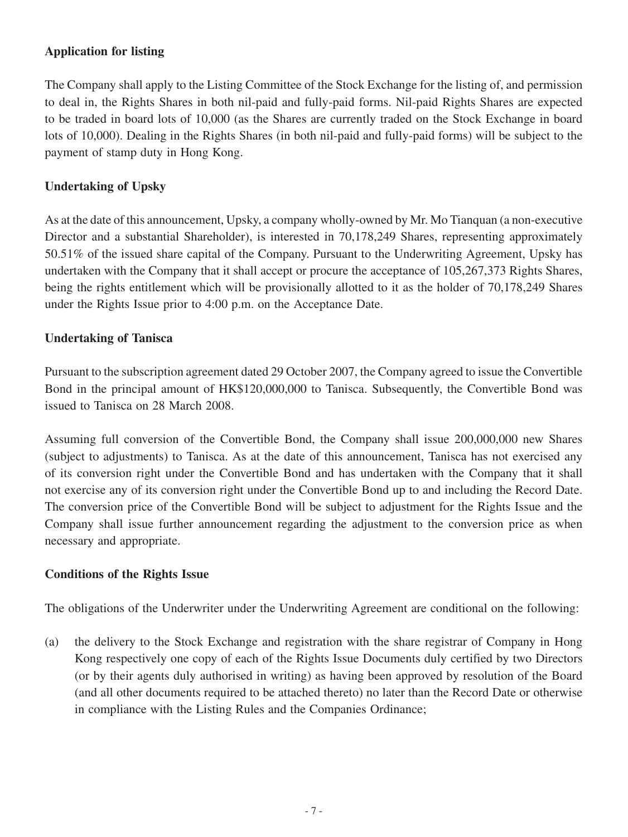## **Application for listing**

The Company shall apply to the Listing Committee of the Stock Exchange for the listing of, and permission to deal in, the Rights Shares in both nil-paid and fully-paid forms. Nil-paid Rights Shares are expected to be traded in board lots of 10,000 (as the Shares are currently traded on the Stock Exchange in board lots of 10,000). Dealing in the Rights Shares (in both nil-paid and fully-paid forms) will be subject to the payment of stamp duty in Hong Kong.

## **Undertaking of Upsky**

As at the date of this announcement, Upsky, a company wholly-owned by Mr. Mo Tianquan (a non-executive Director and a substantial Shareholder), is interested in 70,178,249 Shares, representing approximately 50.51% of the issued share capital of the Company. Pursuant to the Underwriting Agreement, Upsky has undertaken with the Company that it shall accept or procure the acceptance of 105,267,373 Rights Shares, being the rights entitlement which will be provisionally allotted to it as the holder of 70,178,249 Shares under the Rights Issue prior to 4:00 p.m. on the Acceptance Date.

## **Undertaking of Tanisca**

Pursuant to the subscription agreement dated 29 October 2007, the Company agreed to issue the Convertible Bond in the principal amount of HK\$120,000,000 to Tanisca. Subsequently, the Convertible Bond was issued to Tanisca on 28 March 2008.

Assuming full conversion of the Convertible Bond, the Company shall issue 200,000,000 new Shares (subject to adjustments) to Tanisca. As at the date of this announcement, Tanisca has not exercised any of its conversion right under the Convertible Bond and has undertaken with the Company that it shall not exercise any of its conversion right under the Convertible Bond up to and including the Record Date. The conversion price of the Convertible Bond will be subject to adjustment for the Rights Issue and the Company shall issue further announcement regarding the adjustment to the conversion price as when necessary and appropriate.

## **Conditions of the Rights Issue**

The obligations of the Underwriter under the Underwriting Agreement are conditional on the following:

(a) the delivery to the Stock Exchange and registration with the share registrar of Company in Hong Kong respectively one copy of each of the Rights Issue Documents duly certified by two Directors (or by their agents duly authorised in writing) as having been approved by resolution of the Board (and all other documents required to be attached thereto) no later than the Record Date or otherwise in compliance with the Listing Rules and the Companies Ordinance;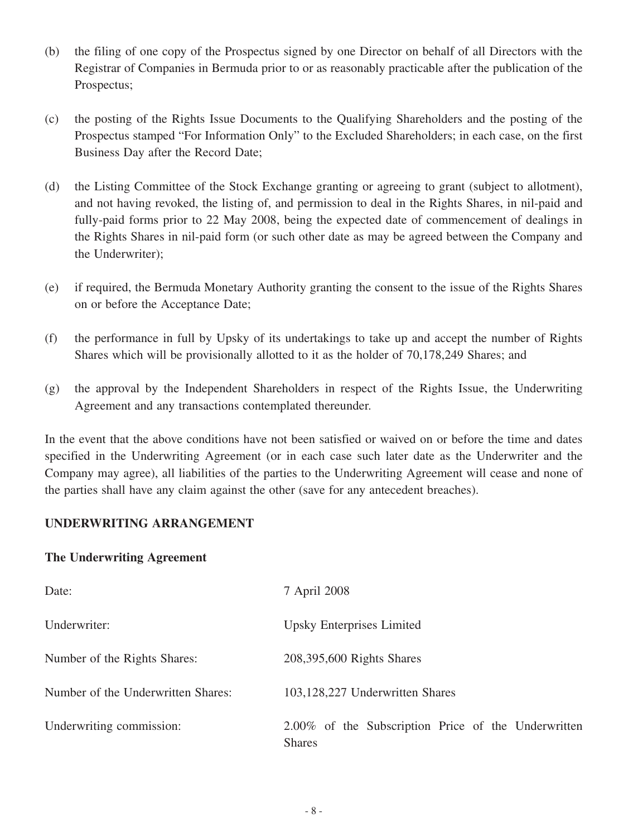- (b) the filing of one copy of the Prospectus signed by one Director on behalf of all Directors with the Registrar of Companies in Bermuda prior to or as reasonably practicable after the publication of the Prospectus;
- (c) the posting of the Rights Issue Documents to the Qualifying Shareholders and the posting of the Prospectus stamped "For Information Only" to the Excluded Shareholders; in each case, on the first Business Day after the Record Date;
- (d) the Listing Committee of the Stock Exchange granting or agreeing to grant (subject to allotment), and not having revoked, the listing of, and permission to deal in the Rights Shares, in nil-paid and fully-paid forms prior to 22 May 2008, being the expected date of commencement of dealings in the Rights Shares in nil-paid form (or such other date as may be agreed between the Company and the Underwriter);
- (e) if required, the Bermuda Monetary Authority granting the consent to the issue of the Rights Shares on or before the Acceptance Date;
- (f) the performance in full by Upsky of its undertakings to take up and accept the number of Rights Shares which will be provisionally allotted to it as the holder of 70,178,249 Shares; and
- (g) the approval by the Independent Shareholders in respect of the Rights Issue, the Underwriting Agreement and any transactions contemplated thereunder.

In the event that the above conditions have not been satisfied or waived on or before the time and dates specified in the Underwriting Agreement (or in each case such later date as the Underwriter and the Company may agree), all liabilities of the parties to the Underwriting Agreement will cease and none of the parties shall have any claim against the other (save for any antecedent breaches).

## **UNDERWRITING ARRANGEMENT**

## **The Underwriting Agreement**

| Date:                              | 7 April 2008                                                         |
|------------------------------------|----------------------------------------------------------------------|
| Underwriter:                       | Upsky Enterprises Limited                                            |
| Number of the Rights Shares:       | 208,395,600 Rights Shares                                            |
| Number of the Underwritten Shares: | 103,128,227 Underwritten Shares                                      |
| Underwriting commission:           | 2.00% of the Subscription Price of the Underwritten<br><b>Shares</b> |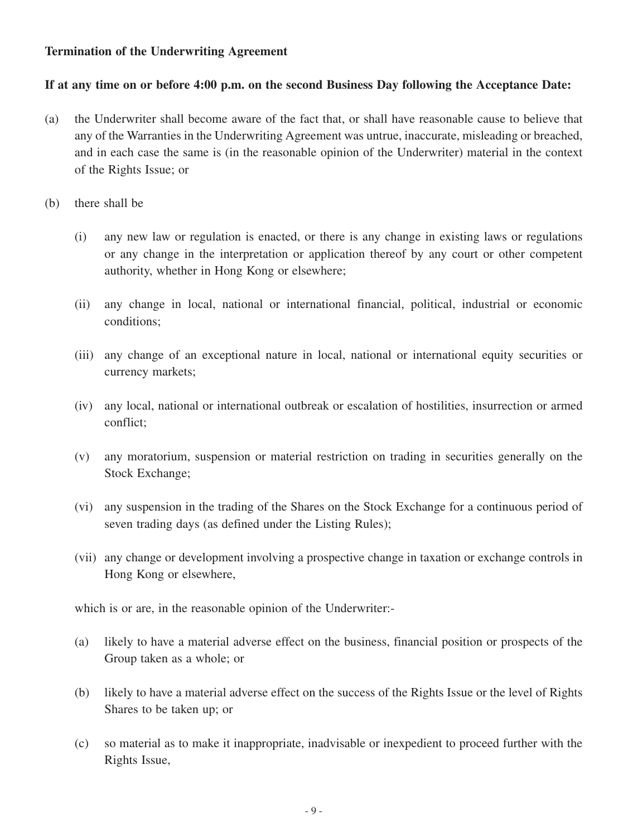#### **Termination of the Underwriting Agreement**

#### **If at any time on or before 4:00 p.m. on the second Business Day following the Acceptance Date:**

- (a) the Underwriter shall become aware of the fact that, or shall have reasonable cause to believe that any of the Warranties in the Underwriting Agreement was untrue, inaccurate, misleading or breached, and in each case the same is (in the reasonable opinion of the Underwriter) material in the context of the Rights Issue; or
- (b) there shall be
	- (i) any new law or regulation is enacted, or there is any change in existing laws or regulations or any change in the interpretation or application thereof by any court or other competent authority, whether in Hong Kong or elsewhere;
	- (ii) any change in local, national or international financial, political, industrial or economic conditions;
	- (iii) any change of an exceptional nature in local, national or international equity securities or currency markets;
	- (iv) any local, national or international outbreak or escalation of hostilities, insurrection or armed conflict;
	- (v) any moratorium, suspension or material restriction on trading in securities generally on the Stock Exchange;
	- (vi) any suspension in the trading of the Shares on the Stock Exchange for a continuous period of seven trading days (as defined under the Listing Rules);
	- (vii) any change or development involving a prospective change in taxation or exchange controls in Hong Kong or elsewhere,

which is or are, in the reasonable opinion of the Underwriter:-

- (a) likely to have a material adverse effect on the business, financial position or prospects of the Group taken as a whole; or
- (b) likely to have a material adverse effect on the success of the Rights Issue or the level of Rights Shares to be taken up; or
- (c) so material as to make it inappropriate, inadvisable or inexpedient to proceed further with the Rights Issue,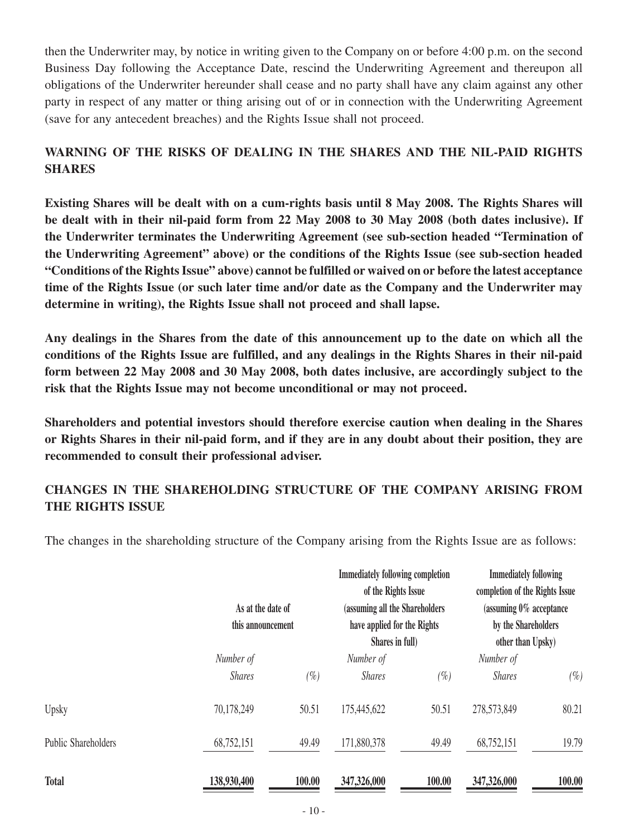then the Underwriter may, by notice in writing given to the Company on or before 4:00 p.m. on the second Business Day following the Acceptance Date, rescind the Underwriting Agreement and thereupon all obligations of the Underwriter hereunder shall cease and no party shall have any claim against any other party in respect of any matter or thing arising out of or in connection with the Underwriting Agreement (save for any antecedent breaches) and the Rights Issue shall not proceed.

# **WARNING OF THE RISKS OF DEALING IN THE SHARES AND THE NIL-PAID RIGHTS SHARES**

**Existing Shares will be dealt with on a cum-rights basis until 8 May 2008. The Rights Shares will be dealt with in their nil-paid form from 22 May 2008 to 30 May 2008 (both dates inclusive). If the Underwriter terminates the Underwriting Agreement (see sub-section headed "Termination of the Underwriting Agreement" above) or the conditions of the Rights Issue (see sub-section headed "Conditions of the Rights Issue" above) cannot be fulfilled or waived on or before the latest acceptance time of the Rights Issue (or such later time and/or date as the Company and the Underwriter may determine in writing), the Rights Issue shall not proceed and shall lapse.**

**Any dealings in the Shares from the date of this announcement up to the date on which all the conditions of the Rights Issue are fulfilled, and any dealings in the Rights Shares in their nil-paid form between 22 May 2008 and 30 May 2008, both dates inclusive, are accordingly subject to the risk that the Rights Issue may not become unconditional or may not proceed.**

**Shareholders and potential investors should therefore exercise caution when dealing in the Shares or Rights Shares in their nil-paid form, and if they are in any doubt about their position, they are recommended to consult their professional adviser.**

# **CHANGES IN THE SHAREHOLDING STRUCTURE OF THE COMPANY ARISING FROM THE RIGHTS ISSUE**

The changes in the shareholding structure of the Company arising from the Rights Issue are as follows:

|                            |                            | As at the date of<br>this announcement |                            | <b>Immediately following completion</b><br>of the Rights Issue<br>(assuming all the Shareholders<br>have applied for the Rights |                            | <b>Immediately following</b><br>completion of the Rights Issue<br>(assuming 0% acceptance<br>by the Shareholders |  |
|----------------------------|----------------------------|----------------------------------------|----------------------------|---------------------------------------------------------------------------------------------------------------------------------|----------------------------|------------------------------------------------------------------------------------------------------------------|--|
|                            |                            |                                        | Shares in full)            |                                                                                                                                 | other than Upsky)          |                                                                                                                  |  |
|                            | Number of<br><b>Shares</b> | $(\%)$                                 | Number of<br><b>Shares</b> | $(\%)$                                                                                                                          | Number of<br><b>Shares</b> | $(\%)$                                                                                                           |  |
| Upsky                      | 70,178,249                 | 50.51                                  | 175,445,622                | 50.51                                                                                                                           | 278,573,849                | 80.21                                                                                                            |  |
| <b>Public Shareholders</b> | 68,752,151                 | 49.49                                  | 171,880,378                | 49.49                                                                                                                           | 68,752,151                 | 19.79                                                                                                            |  |
| <b>Total</b>               | 138,930,400                | 100.00                                 | 347,326,000                | 100.00                                                                                                                          | 347,326,000                | 100.00                                                                                                           |  |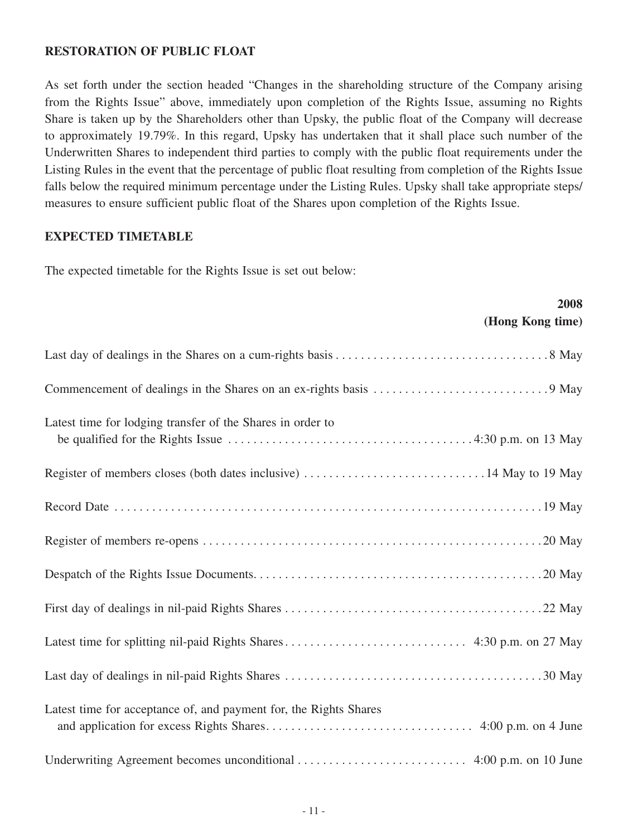#### **RESTORATION OF PUBLIC FLOAT**

As set forth under the section headed "Changes in the shareholding structure of the Company arising from the Rights Issue" above, immediately upon completion of the Rights Issue, assuming no Rights Share is taken up by the Shareholders other than Upsky, the public float of the Company will decrease to approximately 19.79%. In this regard, Upsky has undertaken that it shall place such number of the Underwritten Shares to independent third parties to comply with the public float requirements under the Listing Rules in the event that the percentage of public float resulting from completion of the Rights Issue falls below the required minimum percentage under the Listing Rules. Upsky shall take appropriate steps/ measures to ensure sufficient public float of the Shares upon completion of the Rights Issue.

#### **EXPECTED TIMETABLE**

The expected timetable for the Rights Issue is set out below:

| 2008                                                              |
|-------------------------------------------------------------------|
| (Hong Kong time)                                                  |
|                                                                   |
|                                                                   |
| Latest time for lodging transfer of the Shares in order to        |
|                                                                   |
|                                                                   |
|                                                                   |
|                                                                   |
|                                                                   |
|                                                                   |
|                                                                   |
| Latest time for acceptance of, and payment for, the Rights Shares |
|                                                                   |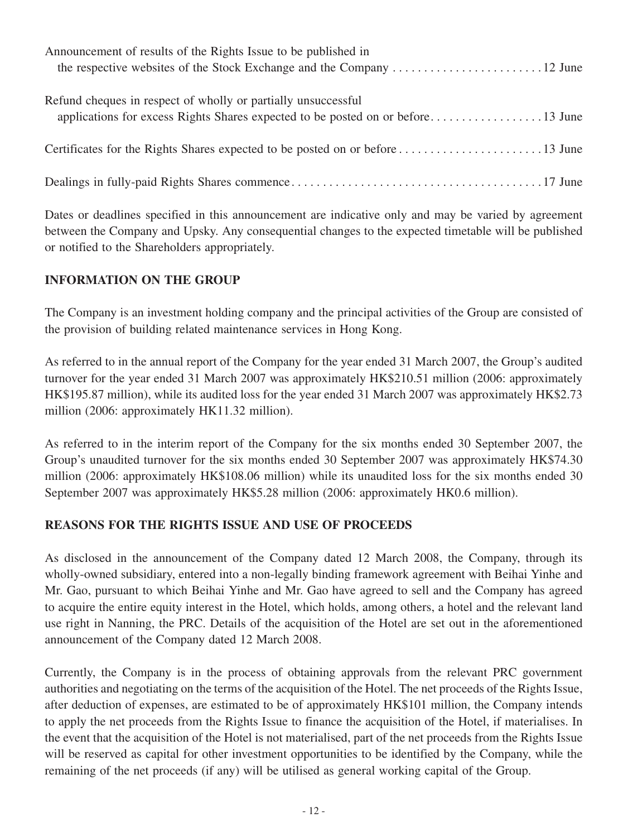| Announcement of results of the Rights Issue to be published in |
|----------------------------------------------------------------|
| Refund cheques in respect of wholly or partially unsuccessful  |
|                                                                |
|                                                                |

Dates or deadlines specified in this announcement are indicative only and may be varied by agreement between the Company and Upsky. Any consequential changes to the expected timetable will be published or notified to the Shareholders appropriately.

# **INFORMATION ON THE GROUP**

The Company is an investment holding company and the principal activities of the Group are consisted of the provision of building related maintenance services in Hong Kong.

As referred to in the annual report of the Company for the year ended 31 March 2007, the Group's audited turnover for the year ended 31 March 2007 was approximately HK\$210.51 million (2006: approximately HK\$195.87 million), while its audited loss for the year ended 31 March 2007 was approximately HK\$2.73 million (2006: approximately HK11.32 million).

As referred to in the interim report of the Company for the six months ended 30 September 2007, the Group's unaudited turnover for the six months ended 30 September 2007 was approximately HK\$74.30 million (2006: approximately HK\$108.06 million) while its unaudited loss for the six months ended 30 September 2007 was approximately HK\$5.28 million (2006: approximately HK0.6 million).

## **REASONS FOR THE RIGHTS ISSUE AND USE OF PROCEEDS**

As disclosed in the announcement of the Company dated 12 March 2008, the Company, through its wholly-owned subsidiary, entered into a non-legally binding framework agreement with Beihai Yinhe and Mr. Gao, pursuant to which Beihai Yinhe and Mr. Gao have agreed to sell and the Company has agreed to acquire the entire equity interest in the Hotel, which holds, among others, a hotel and the relevant land use right in Nanning, the PRC. Details of the acquisition of the Hotel are set out in the aforementioned announcement of the Company dated 12 March 2008.

Currently, the Company is in the process of obtaining approvals from the relevant PRC government authorities and negotiating on the terms of the acquisition of the Hotel. The net proceeds of the Rights Issue, after deduction of expenses, are estimated to be of approximately HK\$101 million, the Company intends to apply the net proceeds from the Rights Issue to finance the acquisition of the Hotel, if materialises. In the event that the acquisition of the Hotel is not materialised, part of the net proceeds from the Rights Issue will be reserved as capital for other investment opportunities to be identified by the Company, while the remaining of the net proceeds (if any) will be utilised as general working capital of the Group.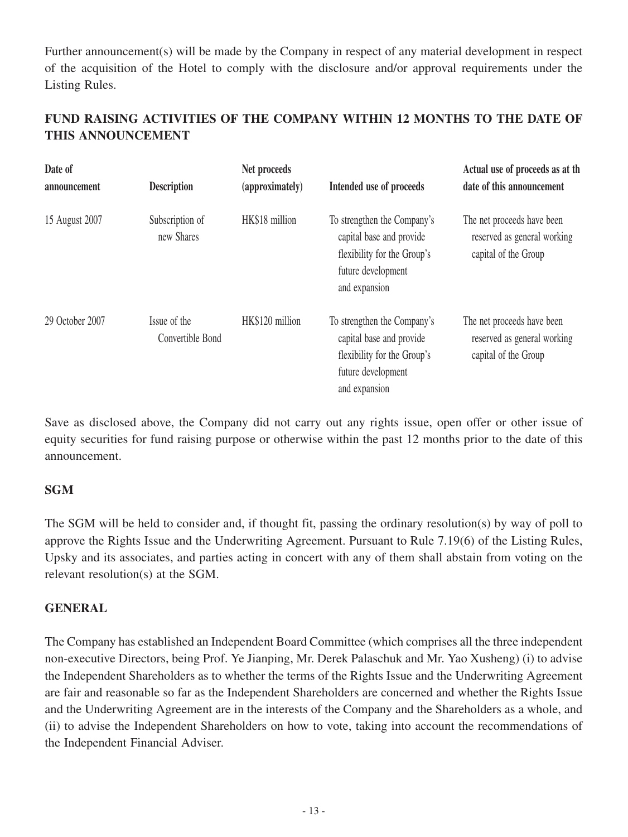Further announcement(s) will be made by the Company in respect of any material development in respect of the acquisition of the Hotel to comply with the disclosure and/or approval requirements under the Listing Rules.

# **FUND RAISING ACTIVITIES OF THE COMPANY WITHIN 12 MONTHS TO THE DATE OF THIS ANNOUNCEMENT**

| Date of<br>announcement | <b>Description</b>               | Net proceeds<br>(approximately) | Intended use of proceeds                                                                                                      | Actual use of proceeds as at the<br>date of this announcement                     |
|-------------------------|----------------------------------|---------------------------------|-------------------------------------------------------------------------------------------------------------------------------|-----------------------------------------------------------------------------------|
| 15 August 2007          | Subscription of<br>new Shares    | HK\$18 million                  | To strengthen the Company's<br>capital base and provide<br>flexibility for the Group's<br>future development<br>and expansion | The net proceeds have been<br>reserved as general working<br>capital of the Group |
| 29 October 2007         | Issue of the<br>Convertible Bond | HK\$120 million                 | To strengthen the Company's<br>capital base and provide<br>flexibility for the Group's<br>future development<br>and expansion | The net proceeds have been<br>reserved as general working<br>capital of the Group |

Save as disclosed above, the Company did not carry out any rights issue, open offer or other issue of equity securities for fund raising purpose or otherwise within the past 12 months prior to the date of this announcement.

# **SGM**

The SGM will be held to consider and, if thought fit, passing the ordinary resolution(s) by way of poll to approve the Rights Issue and the Underwriting Agreement. Pursuant to Rule 7.19(6) of the Listing Rules, Upsky and its associates, and parties acting in concert with any of them shall abstain from voting on the relevant resolution(s) at the SGM.

# **GENERAL**

The Company has established an Independent Board Committee (which comprises all the three independent non-executive Directors, being Prof. Ye Jianping, Mr. Derek Palaschuk and Mr. Yao Xusheng) (i) to advise the Independent Shareholders as to whether the terms of the Rights Issue and the Underwriting Agreement are fair and reasonable so far as the Independent Shareholders are concerned and whether the Rights Issue and the Underwriting Agreement are in the interests of the Company and the Shareholders as a whole, and (ii) to advise the Independent Shareholders on how to vote, taking into account the recommendations of the Independent Financial Adviser.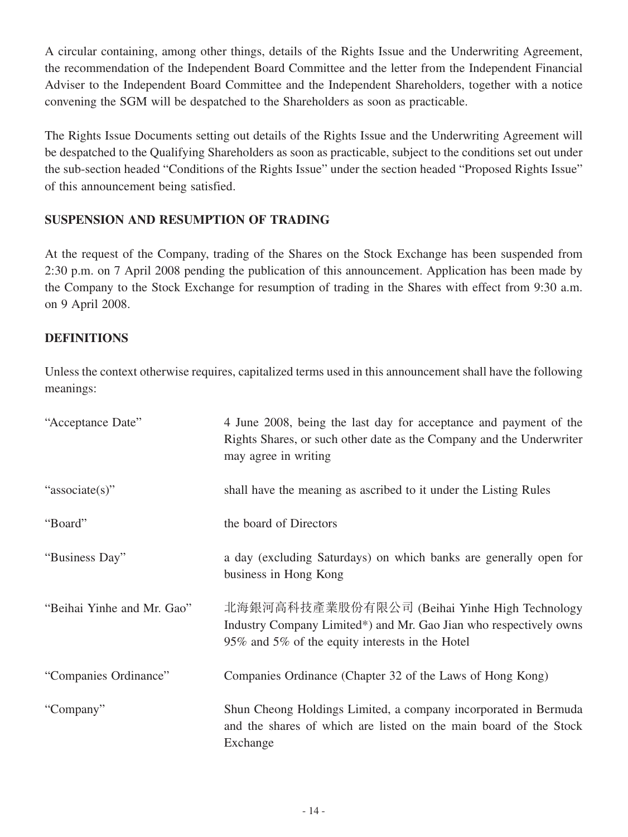A circular containing, among other things, details of the Rights Issue and the Underwriting Agreement, the recommendation of the Independent Board Committee and the letter from the Independent Financial Adviser to the Independent Board Committee and the Independent Shareholders, together with a notice convening the SGM will be despatched to the Shareholders as soon as practicable.

The Rights Issue Documents setting out details of the Rights Issue and the Underwriting Agreement will be despatched to the Qualifying Shareholders as soon as practicable, subject to the conditions set out under the sub-section headed "Conditions of the Rights Issue" under the section headed "Proposed Rights Issue" of this announcement being satisfied.

# **SUSPENSION AND RESUMPTION OF TRADING**

At the request of the Company, trading of the Shares on the Stock Exchange has been suspended from 2:30 p.m. on 7 April 2008 pending the publication of this announcement. Application has been made by the Company to the Stock Exchange for resumption of trading in the Shares with effect from 9:30 a.m. on 9 April 2008.

## **DEFINITIONS**

Unless the context otherwise requires, capitalized terms used in this announcement shall have the following meanings:

| "Acceptance Date"          | 4 June 2008, being the last day for acceptance and payment of the<br>Rights Shares, or such other date as the Company and the Underwriter<br>may agree in writing     |
|----------------------------|-----------------------------------------------------------------------------------------------------------------------------------------------------------------------|
| "associate(s)"             | shall have the meaning as ascribed to it under the Listing Rules                                                                                                      |
| "Board"                    | the board of Directors                                                                                                                                                |
| "Business Day"             | a day (excluding Saturdays) on which banks are generally open for<br>business in Hong Kong                                                                            |
| "Beihai Yinhe and Mr. Gao" | 北海銀河高科技產業股份有限公司 (Beihai Yinhe High Technology<br>Industry Company Limited*) and Mr. Gao Jian who respectively owns<br>95% and 5% of the equity interests in the Hotel |
| "Companies Ordinance"      | Companies Ordinance (Chapter 32 of the Laws of Hong Kong)                                                                                                             |
| "Company"                  | Shun Cheong Holdings Limited, a company incorporated in Bermuda<br>and the shares of which are listed on the main board of the Stock<br>Exchange                      |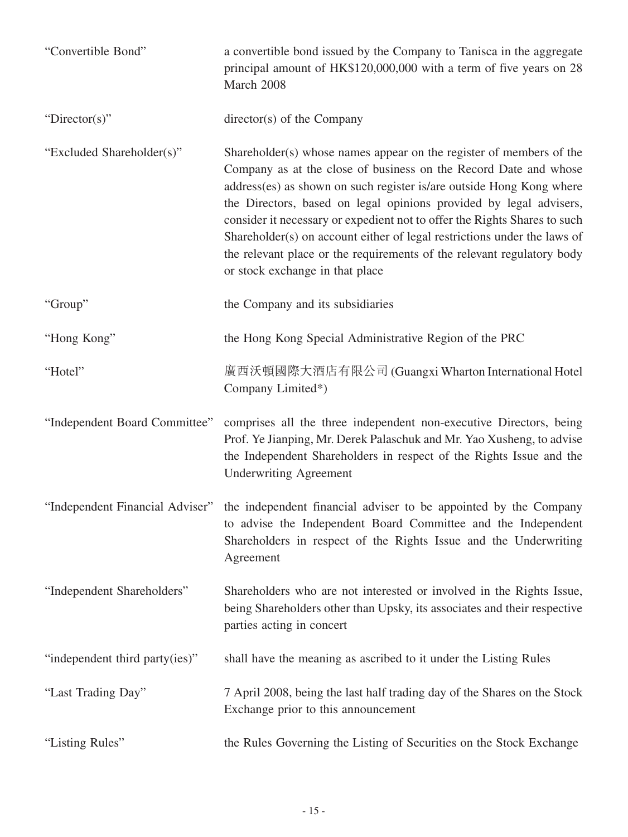| "Convertible Bond"             | a convertible bond issued by the Company to Tanisca in the aggregate<br>principal amount of HK\$120,000,000 with a term of five years on 28<br>March 2008                                                                                                                                                                                                                                                                                                                                                                                                   |
|--------------------------------|-------------------------------------------------------------------------------------------------------------------------------------------------------------------------------------------------------------------------------------------------------------------------------------------------------------------------------------------------------------------------------------------------------------------------------------------------------------------------------------------------------------------------------------------------------------|
| "Director(s)"                  | director(s) of the Company                                                                                                                                                                                                                                                                                                                                                                                                                                                                                                                                  |
| "Excluded Shareholder(s)"      | Shareholder(s) whose names appear on the register of members of the<br>Company as at the close of business on the Record Date and whose<br>address(es) as shown on such register is/are outside Hong Kong where<br>the Directors, based on legal opinions provided by legal advisers,<br>consider it necessary or expedient not to offer the Rights Shares to such<br>Shareholder(s) on account either of legal restrictions under the laws of<br>the relevant place or the requirements of the relevant regulatory body<br>or stock exchange in that place |
| "Group"                        | the Company and its subsidiaries                                                                                                                                                                                                                                                                                                                                                                                                                                                                                                                            |
| "Hong Kong"                    | the Hong Kong Special Administrative Region of the PRC                                                                                                                                                                                                                                                                                                                                                                                                                                                                                                      |
| "Hotel"                        | 廣西沃頓國際大酒店有限公司 (Guangxi Wharton International Hotel<br>Company Limited*)                                                                                                                                                                                                                                                                                                                                                                                                                                                                                     |
| "Independent Board Committee"  | comprises all the three independent non-executive Directors, being<br>Prof. Ye Jianping, Mr. Derek Palaschuk and Mr. Yao Xusheng, to advise<br>the Independent Shareholders in respect of the Rights Issue and the<br><b>Underwriting Agreement</b>                                                                                                                                                                                                                                                                                                         |
|                                | "Independent Financial Adviser" the independent financial adviser to be appointed by the Company<br>to advise the Independent Board Committee and the Independent<br>Shareholders in respect of the Rights Issue and the Underwriting<br>Agreement                                                                                                                                                                                                                                                                                                          |
| "Independent Shareholders"     | Shareholders who are not interested or involved in the Rights Issue,<br>being Shareholders other than Upsky, its associates and their respective<br>parties acting in concert                                                                                                                                                                                                                                                                                                                                                                               |
| "independent third party(ies)" | shall have the meaning as ascribed to it under the Listing Rules                                                                                                                                                                                                                                                                                                                                                                                                                                                                                            |
| "Last Trading Day"             | 7 April 2008, being the last half trading day of the Shares on the Stock<br>Exchange prior to this announcement                                                                                                                                                                                                                                                                                                                                                                                                                                             |
| "Listing Rules"                | the Rules Governing the Listing of Securities on the Stock Exchange                                                                                                                                                                                                                                                                                                                                                                                                                                                                                         |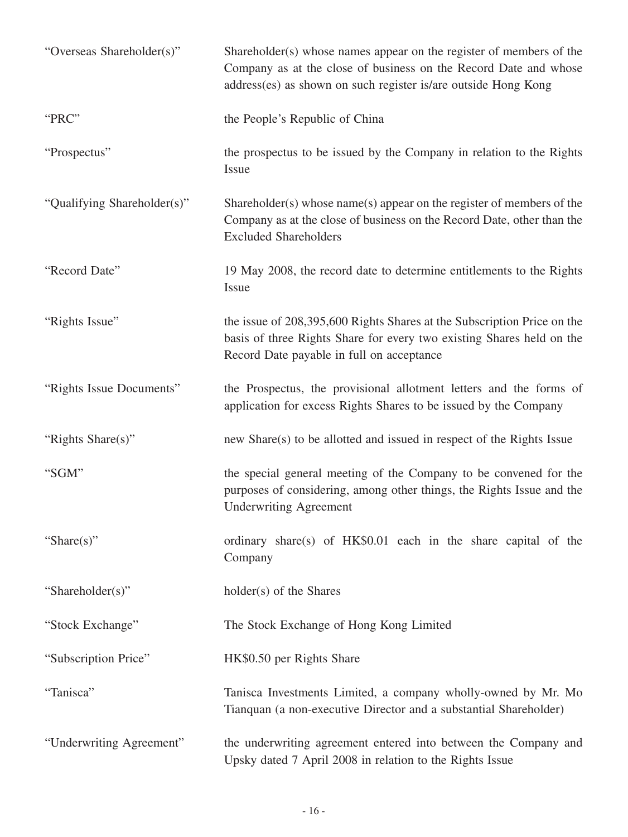| "Overseas Shareholder(s)"   | Shareholder(s) whose names appear on the register of members of the<br>Company as at the close of business on the Record Date and whose<br>address(es) as shown on such register is/are outside Hong Kong |
|-----------------------------|-----------------------------------------------------------------------------------------------------------------------------------------------------------------------------------------------------------|
| "PRC"                       | the People's Republic of China                                                                                                                                                                            |
| "Prospectus"                | the prospectus to be issued by the Company in relation to the Rights<br>Issue                                                                                                                             |
| "Qualifying Shareholder(s)" | Shareholder(s) whose name(s) appear on the register of members of the<br>Company as at the close of business on the Record Date, other than the<br><b>Excluded Shareholders</b>                           |
| "Record Date"               | 19 May 2008, the record date to determine entitlements to the Rights<br>Issue                                                                                                                             |
| "Rights Issue"              | the issue of 208,395,600 Rights Shares at the Subscription Price on the<br>basis of three Rights Share for every two existing Shares held on the<br>Record Date payable in full on acceptance             |
| "Rights Issue Documents"    | the Prospectus, the provisional allotment letters and the forms of<br>application for excess Rights Shares to be issued by the Company                                                                    |
| "Rights Share(s)"           | new Share(s) to be allotted and issued in respect of the Rights Issue                                                                                                                                     |
| "SGM"                       | the special general meeting of the Company to be convened for the<br>purposes of considering, among other things, the Rights Issue and the<br><b>Underwriting Agreement</b>                               |
| "Share $(s)$ "              | ordinary share(s) of HK\$0.01 each in the share capital of the<br>Company                                                                                                                                 |
| "Shareholder(s)"            | holder(s) of the Shares                                                                                                                                                                                   |
| "Stock Exchange"            | The Stock Exchange of Hong Kong Limited                                                                                                                                                                   |
| "Subscription Price"        | HK\$0.50 per Rights Share                                                                                                                                                                                 |
| "Tanisca"                   | Tanisca Investments Limited, a company wholly-owned by Mr. Mo<br>Tianquan (a non-executive Director and a substantial Shareholder)                                                                        |
| "Underwriting Agreement"    | the underwriting agreement entered into between the Company and<br>Upsky dated 7 April 2008 in relation to the Rights Issue                                                                               |